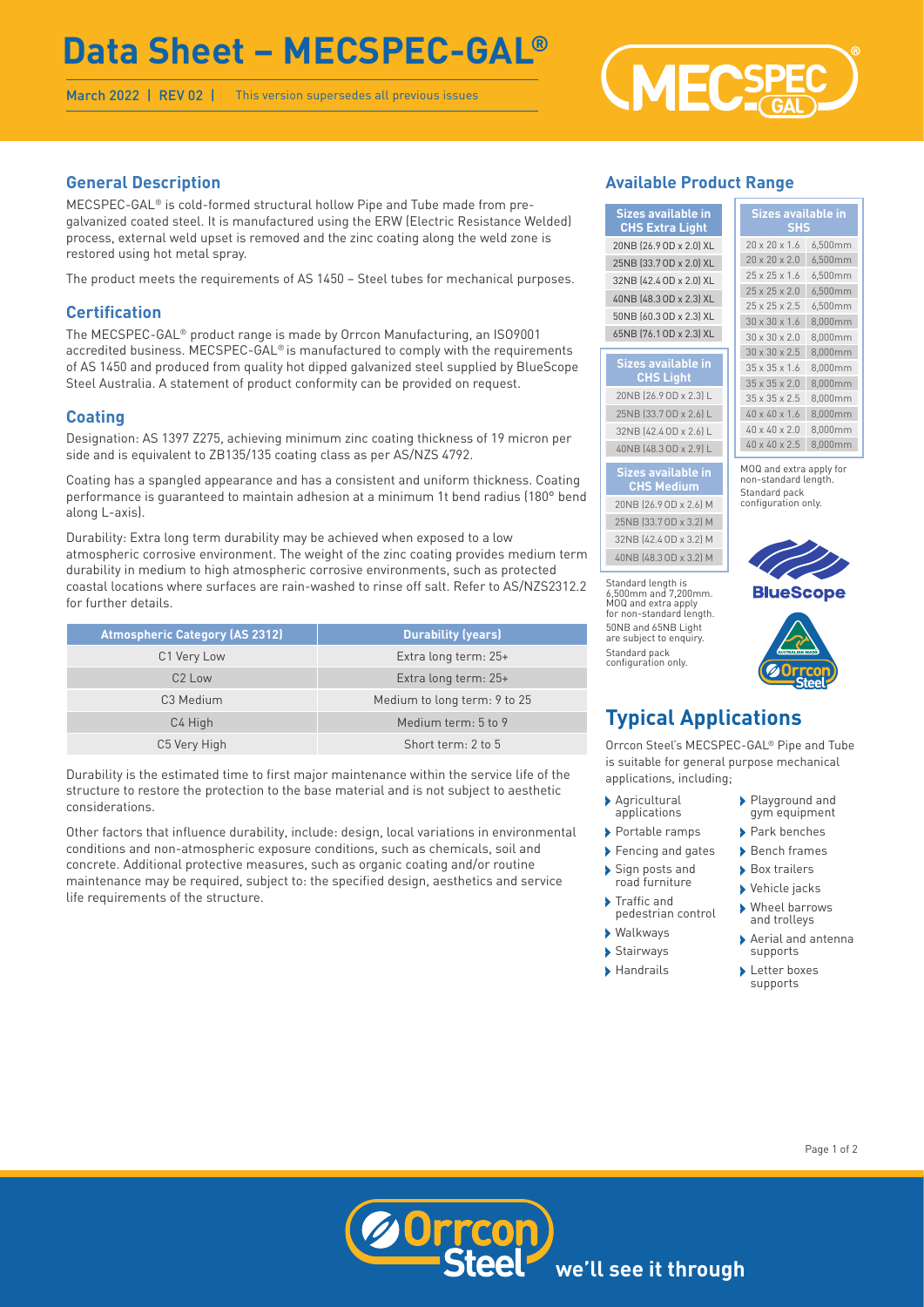# **Data Sheet – MECSPEC-GAL®**

March 2022 | REV 02 | This version supersedes all previous issues



# **General Description**

MECSPEC-GAL® is cold-formed structural hollow Pipe and Tube made from pregalvanized coated steel. It is manufactured using the ERW (Electric Resistance Welded) process, external weld upset is removed and the zinc coating along the weld zone is restored using hot metal spray.

The product meets the requirements of AS 1450 – Steel tubes for mechanical purposes.

# **Certification**

The MECSPEC-GAL® product range is made by Orrcon Manufacturing, an ISO9001 accredited business. MECSPEC-GAL® is manufactured to comply with the requirements of AS 1450 and produced from quality hot dipped galvanized steel supplied by BlueScope Steel Australia. A statement of product conformity can be provided on request.

# **Coating**

Designation: AS 1397 Z275, achieving minimum zinc coating thickness of 19 micron per side and is equivalent to ZB135/135 coating class as per AS/NZS 4792.

Coating has a spangled appearance and has a consistent and uniform thickness. Coating performance is guaranteed to maintain adhesion at a minimum 1t bend radius (180° bend along L-axis).

Durability: Extra long term durability may be achieved when exposed to a low atmospheric corrosive environment. The weight of the zinc coating provides medium term durability in medium to high atmospheric corrosive environments, such as protected coastal locations where surfaces are rain-washed to rinse off salt. Refer to AS/NZS2312.2 for further details.

| <b>Atmospheric Category (AS 2312)</b> | <b>Durability (years)</b>    |
|---------------------------------------|------------------------------|
| C1 Very Low                           | Extra long term: 25+         |
| C <sub>2</sub> Low                    | Extra long term: 25+         |
| C <sub>3</sub> Medium                 | Medium to long term: 9 to 25 |
| C4 High                               | Medium term: 5 to 9          |
| C5 Very High                          | Short term: 2 to 5           |

Durability is the estimated time to first major maintenance within the service life of the structure to restore the protection to the base material and is not subject to aesthetic considerations.

Other factors that influence durability, include: design, local variations in environmental conditions and non-atmospheric exposure conditions, such as chemicals, soil and concrete. Additional protective measures, such as organic coating and/or routine maintenance may be required, subject to: the specified design, aesthetics and service life requirements of the structure.

# **Available Product Range**

| <b>Sizes available in</b><br><b>CHS Extra Light</b> | Sizes available in<br><b>SHS</b> |                           |         |
|-----------------------------------------------------|----------------------------------|---------------------------|---------|
| 20NB (26.9 OD x 2.0) XL                             |                                  | $20 \times 20 \times 1.6$ | 6,500mm |
| 25NB (33.7 OD x 2.0) XL                             |                                  | $20 \times 20 \times 2.0$ | 6,500mm |
| 32NB (42.4 OD x 2.0) XL                             |                                  | $25 \times 25 \times 1.6$ | 6,500mm |
| 40NB (48.3 OD x 2.3) XL                             |                                  | $25 \times 25 \times 2.0$ | 6,500mm |
|                                                     |                                  | $25 \times 25 \times 2.5$ | 6,500mm |
| 50NB (60.3 OD x 2.3) XL                             |                                  | $30 \times 30 \times 1.6$ | 8,000mm |
| 65NB (76.1 OD x 2.3) XL                             |                                  | $30 \times 30 \times 2.0$ | 8,000mm |
|                                                     |                                  | $30 \times 30 \times 2.5$ | 8.000mm |
| <b>Sizes available in</b>                           |                                  | $35 \times 35 \times 1.6$ | 8,000mm |
| <b>CHS Light</b>                                    |                                  | $35 \times 35 \times 2.0$ | 8.000mm |
| 20NB (26.9 OD x 2.3) L                              |                                  | $35 \times 35 \times 2.5$ | 8,000mm |
| 25NB (33.7 OD x 2.6) L                              |                                  | 40 x 40 x 1.6             | 8,000mm |
| 32NB (42.4 OD x 2.6) L                              |                                  | 40 x 40 x 2.0             | 8,000mm |
| 40NB (48.3 OD x 2.9) L                              |                                  | 40 x 40 x 2.5             | 8,000mm |
|                                                     |                                  |                           |         |

#### **Sizes available in CHS Medium**

20NB (26.9OD x 2.6) M 25NB (33.7OD x 3.2) M 32NB (42.4OD x 3.2) M 40NB (48.3OD x 3.2) M

Standard length is 6,500mm and 7,200mm. MOQ and extra apply for non-standard length. 50NB and 65NB Light are subject to enquiry Standard pack configuration only.



MOQ and extra apply for non-standard length. Standard pack configuration only.



# **Typical Applications**

Orrcon Steel's MECSPEC-GAL® Pipe and Tube is suitable for general purpose mechanical applications, including;

- › Agricultural applications
- › Portable ramps
- › Fencing and gates
- › Sign posts and road furniture
- › Traffic and pedestrian control
- › Walkways
- › Stairways
- › Handrails
- › Playground and gym equipment
- › Park benches
- › Bench frames
- › Box trailers
- › Vehicle jacks
- › Wheel barrows and trolleys
- › Aerial and antenna supports
- **>Letter boxes** supports